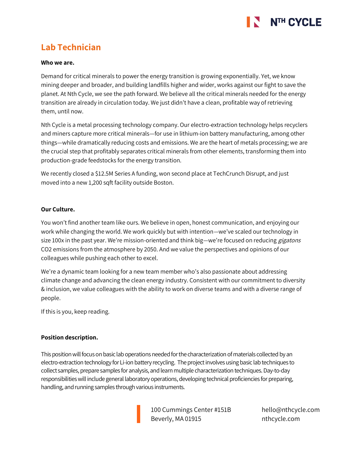

# **Lab Technician**

#### **Who we are.**

Demand for critical minerals to power the energy transition is growing exponentially. Yet, we know mining deeper and broader, and building landfills higher and wider, works against our fight to save the planet. At Nth Cycle, we see the path forward. We believe all the critical minerals needed for the energy transition are already in circulation today. We just didn't have a clean, profitable way of retrieving them, until now.

Nth Cycle is a metal processing technology company. Our electro-extraction technology helps recyclers and miners capture more critical minerals—for use in lithium-ion battery manufacturing, among other things—while dramatically reducing costs and emissions. We are the heart of metals processing; we are the crucial step that profitably separates critical minerals from other elements, transforming them into production-grade feedstocks for the energy transition.

We recently closed a \$12.5M Series A funding, won second place at TechCrunch Disrupt, and just moved into a new 1,200 sqft facility outside Boston.

### **Our Culture.**

You won't find another team like ours. We believe in open, honest communication, and enjoying our work while changing the world. We work quickly but with intention—we've scaled our technology in size 100x in the past year. We're mission-oriented and think big—we're focused on reducing *gigatons* CO2 emissions from the atmosphere by 2050. And we value the perspectives and opinions of our colleagues while pushing each other to excel.

We're a dynamic team looking for a new team member who's also passionate about addressing climate change and advancing the clean energy industry. Consistent with our commitment to diversity & inclusion, we value colleagues with the ability to work on diverse teams and with a diverse range of people.

If this is you, keep reading.

### **Position description.**

This position will focus on basic lab operations needed for the characterization of materials collected by an electro-extraction technology for Li-ion battery recycling. The project involves using basic lab techniques to collect samples, prepare samples for analysis, and learn multiple characterization techniques. Day-to-day responsibilities will include general laboratory operations, developing technical proficiencies for preparing, handling, and running samples through various instruments.

> 100 Cummings Center #151B Beverly, MA 01915

hello@nthcycle.com nthcycle.com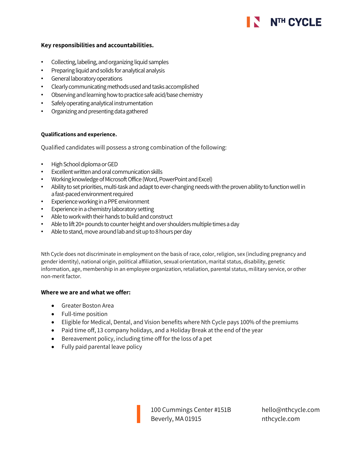# NTH CYCLE

# **Key responsibilities and accountabilities.**

- Collecting, labeling, and organizing liquid samples
- Preparing liquid and solids for analytical analysis
- General laboratory operations
- Clearly communicating methods used and tasks accomplished
- Observing and learning how to practice safe acid/base chemistry
- Safely operating analytical instrumentation
- Organizing and presenting data gathered

# **Qualifications and experience.**

Qualified candidates will possess a strong combination of the following:

- High School diploma or GED
- Excellent written and oral communication skills
- Working knowledge of Microsoft Office (Word, PowerPoint and Excel)
- Ability to set priorities, multi-task and adapt to ever-changing needs with the proven ability to function well in a fast-paced environment required
- Experience working in a PPE environment
- Experience in a chemistry laboratory setting
- Able to work with their hands to build and construct
- Able to lift 20+ pounds to counter height and over shoulders multiple times a day
- Able to stand, move around lab and sit up to 8 hours per day

Nth Cycle does not discriminate in employment on the basis of race, color, religion, sex (including pregnancy and gender identity), national origin, political affiliation, sexual orientation, marital status, disability, genetic information, age, membership in an employee organization, retaliation, parental status, military service, or other non-merit factor.

### **Where we are and what we offer:**

- Greater Boston Area
- Full-time position
- Eligible for Medical, Dental, and Vision benefits where Nth Cycle pays 100% of the premiums
- Paid time off, 13 company holidays, and a Holiday Break at the end of the year
- Bereavement policy, including time off for the loss of a pet
- Fully paid parental leave policy

100 Cummings Center #151B Beverly, MA 01915

hello@nthcycle.com nthcycle.com